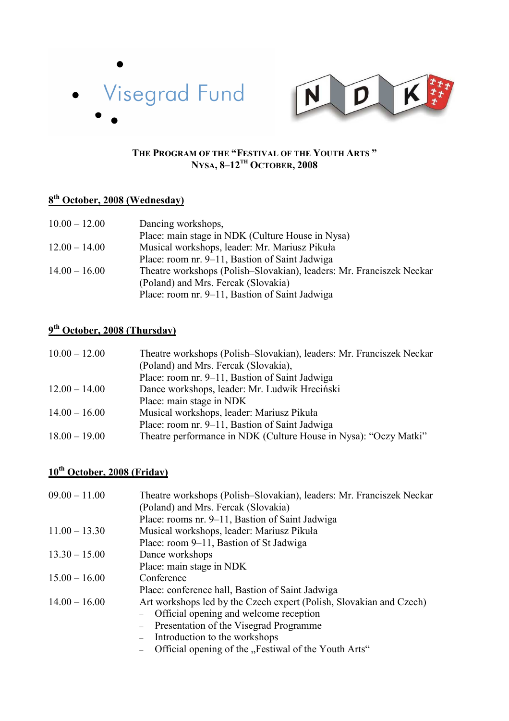



#### **THE PROGRAM OF THE "FESTIVAL OF THE YOUTH ARTS " NYSA, 8–12TH OCTOBER, 2008**

### **8 th October, 2008 (Wednesday)**

| $10.00 - 12.00$ | Dancing workshops,                                                   |
|-----------------|----------------------------------------------------------------------|
|                 | Place: main stage in NDK (Culture House in Nysa)                     |
| $12.00 - 14.00$ | Musical workshops, leader: Mr. Mariusz Pikuła                        |
|                 | Place: room nr. 9–11, Bastion of Saint Jadwiga                       |
| $14.00 - 16.00$ | Theatre workshops (Polish–Slovakian), leaders: Mr. Franciszek Neckar |
|                 | (Poland) and Mrs. Fercak (Slovakia)                                  |
|                 | Place: room nr. 9–11, Bastion of Saint Jadwiga                       |

### **9 th October, 2008 (Thursday)**

| $10.00 - 12.00$ | Theatre workshops (Polish–Slovakian), leaders: Mr. Franciszek Neckar |
|-----------------|----------------------------------------------------------------------|
|                 | (Poland) and Mrs. Fercak (Slovakia),                                 |
|                 | Place: room nr. 9–11, Bastion of Saint Jadwiga                       |
| $12.00 - 14.00$ | Dance workshops, leader: Mr. Ludwik Hreciński                        |
|                 | Place: main stage in NDK                                             |
| $14.00 - 16.00$ | Musical workshops, leader: Mariusz Pikuła                            |
|                 | Place: room nr. 9–11, Bastion of Saint Jadwiga                       |
| $18.00 - 19.00$ | Theatre performance in NDK (Culture House in Nysa): "Oczy Matki"     |

## **10th October, 2008 (Friday)**

| $09.00 - 11.00$ | Theatre workshops (Polish-Slovakian), leaders: Mr. Franciszek Neckar |
|-----------------|----------------------------------------------------------------------|
|                 | (Poland) and Mrs. Fercak (Slovakia)                                  |
|                 | Place: rooms nr. 9–11, Bastion of Saint Jadwiga                      |
| $11.00 - 13.30$ | Musical workshops, leader: Mariusz Pikuła                            |
|                 | Place: room 9–11, Bastion of St Jadwiga                              |
| $13.30 - 15.00$ | Dance workshops                                                      |
|                 | Place: main stage in NDK                                             |
| $15.00 - 16.00$ | Conference                                                           |
|                 | Place: conference hall, Bastion of Saint Jadwiga                     |
| $14.00 - 16.00$ | Art workshops led by the Czech expert (Polish, Slovakian and Czech)  |
|                 | Official opening and welcome reception                               |
|                 | Presentation of the Visegrad Programme                               |
|                 | Introduction to the workshops                                        |
|                 | Official opening of the "Festiwal of the Youth Arts"                 |